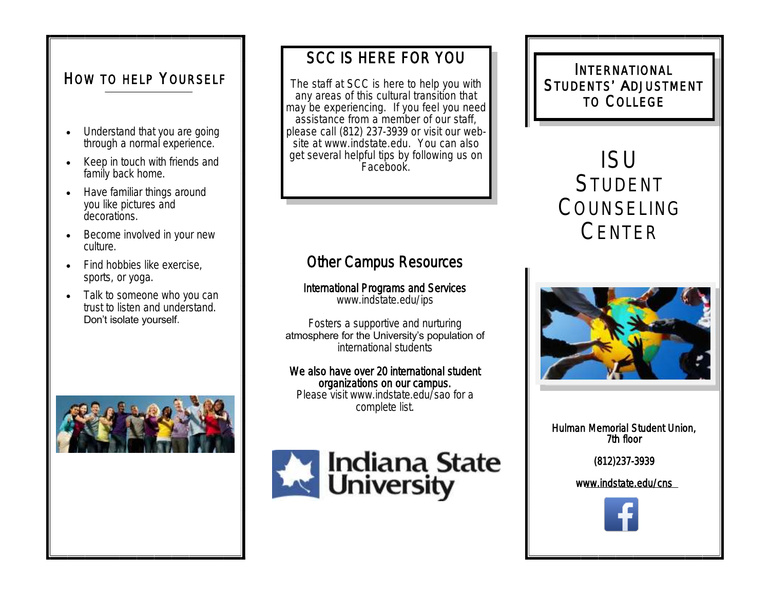## HOW TO HELP YOURSELF

- Understand that you are going through a normal experience.
- Keep in touch with friends and family back home.
- Have familiar things around you like pictures and decorations.
- Become involved in your new culture.
- Find hobbies like exercise. sports, or yoga.
- Talk to someone who you can trust to listen and understand. Don't isolate yourself.



## SCC IS HERE FOR YOU

The staff at SCC is here to help you with any areas of this cultural transition that may be experiencing. If you feel you need assistance from a member of our staff, please call (812) 237-3939 or visit our website at www.indstate.edu. You can also get several helpful tips by following us on Facebook.

# ISU STUDENT COUNSELING CENTER

INTERNATIONAL STUDENTS' ADJUSTMENT TO COLLEGE

## Other Campus Resources

International Programs and Services www.indstate.edu/ips

Fosters a supportive and nurturing atmosphere for the University's population of international students

We also have over 20 international student organizations on our campus. Please visit www.indstate.edu/sao for a complete list.



Hulman Memorial Student Union, 7th floor

(812)237-3939

www.indstate.edu/cns